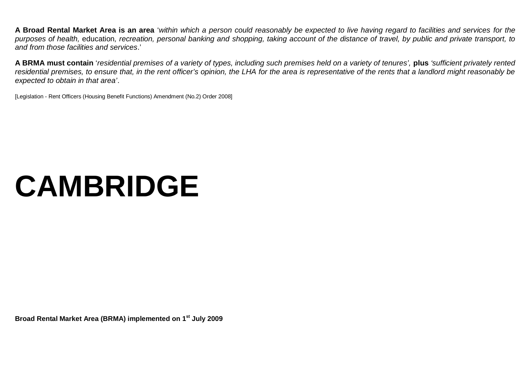**A Broad Rental Market Area is an area** '*within which a person could reasonably be expected to live having regard to facilities and services for the purposes of health,* education*, recreation, personal banking and shopping, taking account of the distance of travel, by public and private transport, to and from those facilities and services*.'

**A BRMA must contain** '*residential premises of a variety of types, including such premises held on a variety of tenures',* **plus** *'sufficient privately rented residential premises, to ensure that, in the rent officer's opinion, the LHA for the area is representative of the rents that a landlord might reasonably be expected to obtain in that area'*.

[Legislation - Rent Officers (Housing Benefit Functions) Amendment (No.2) Order 2008]

# **CAMBRIDGE**

**Broad Rental Market Area (BRMA) implemented on 1st July 2009**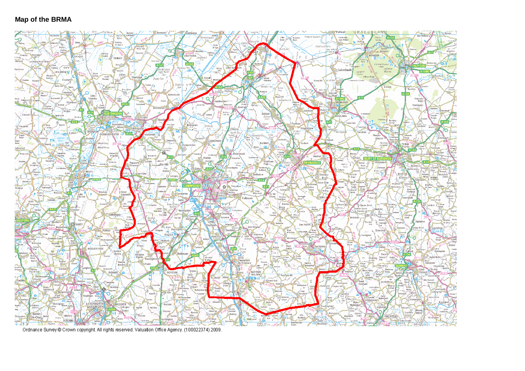#### **Map of the BRMA**



Ordnance Survey @ Crown copyright. All rights reserved. Valuation Office Agency. (100022374) 2009.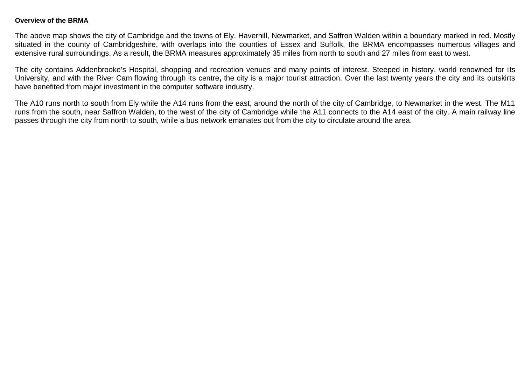#### **Overview of the BRMA**

The above map shows the city of Cambridge and the towns of Ely, Haverhill, Newmarket, and Saffron Walden within a boundary marked in red. Mostly situated in the county of Cambridgeshire, with overlaps into the counties of Essex and Suffolk, the BRMA encompasses numerous villages and extensive rural surroundings. As a result, the BRMA measures approximately 35 miles from north to south and 27 miles from east to west.

The city contains Addenbrooke's Hospital, shopping and recreation venues and many points of interest. Steeped in history, world renowned for its University, and with the River Cam flowing through its centre**,** the city is a major tourist attraction. Over the last twenty years the city and its outskirts have benefited from major investment in the computer software industry.

The A10 runs north to south from Ely while the A14 runs from the east, around the north of the city of Cambridge, to Newmarket in the west. The M11 runs from the south, near Saffron Walden, to the west of the city of Cambridge while the A11 connects to the A14 east of the city. A main railway line passes through the city from north to south, while a bus network emanates out from the city to circulate around the area.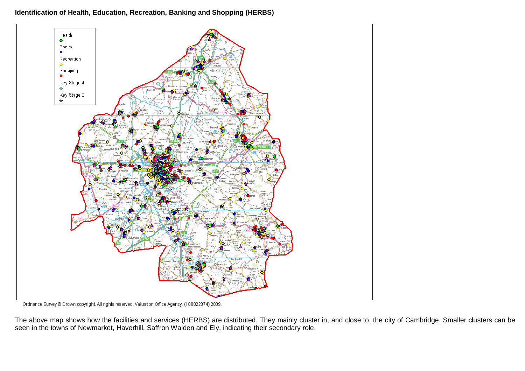#### **Identification of Health, Education, Recreation, Banking and Shopping (HERBS)**



Ordnance Survey @ Crown copyright. All rights reserved. Valuation Office Agency. (100022374) 2009.

The above map shows how the facilities and services (HERBS) are distributed. They mainly cluster in, and close to, the city of Cambridge. Smaller clusters can be seen in the towns of Newmarket, Haverhill, Saffron Walden and Ely, indicating their secondary role.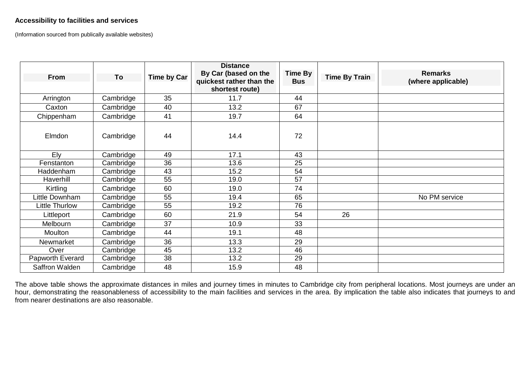# **Accessibility to facilities and services**

(Information sourced from publically available websites)

| <b>From</b>           | To        | <b>Time by Car</b> | <b>Distance</b><br>By Car (based on the<br>quickest rather than the<br>shortest route) | <b>Time By</b><br><b>Bus</b> | <b>Time By Train</b> | <b>Remarks</b><br>(where applicable) |
|-----------------------|-----------|--------------------|----------------------------------------------------------------------------------------|------------------------------|----------------------|--------------------------------------|
| Arrington             | Cambridge | 35                 | 11.7                                                                                   | 44                           |                      |                                      |
| Caxton                | Cambridge | 40                 | 13.2                                                                                   | 67                           |                      |                                      |
| Chippenham            | Cambridge | 41                 | 19.7                                                                                   | 64                           |                      |                                      |
| Elmdon                | Cambridge | 44                 | 14.4                                                                                   | 72                           |                      |                                      |
| Ely                   | Cambridge | 49                 | 17.1                                                                                   | 43                           |                      |                                      |
| Fenstanton            | Cambridge | $\overline{36}$    | 13.6                                                                                   | $\overline{25}$              |                      |                                      |
| Haddenham             | Cambridge | 43                 | 15.2                                                                                   | 54                           |                      |                                      |
| Haverhill             | Cambridge | 55                 | 19.0                                                                                   | $\overline{57}$              |                      |                                      |
| Kirtling              | Cambridge | 60                 | 19.0                                                                                   | 74                           |                      |                                      |
| Little Downham        | Cambridge | 55                 | 19.4                                                                                   | 65                           |                      | No PM service                        |
| <b>Little Thurlow</b> | Cambridge | 55                 | 19.2                                                                                   | 76                           |                      |                                      |
| Littleport            | Cambridge | 60                 | 21.9                                                                                   | 54                           | 26                   |                                      |
| Melbourn              | Cambridge | 37                 | 10.9                                                                                   | 33                           |                      |                                      |
| Moulton               | Cambridge | 44                 | 19.1                                                                                   | 48                           |                      |                                      |
| Newmarket             | Cambridge | 36                 | 13.3                                                                                   | 29                           |                      |                                      |
| Over                  | Cambridge | 45                 | 13.2                                                                                   | 46                           |                      |                                      |
| Papworth Everard      | Cambridge | 38                 | 13.2                                                                                   | 29                           |                      |                                      |
| Saffron Walden        | Cambridge | 48                 | 15.9                                                                                   | 48                           |                      |                                      |

The above table shows the approximate distances in miles and journey times in minutes to Cambridge city from peripheral locations. Most journeys are under an hour, demonstrating the reasonableness of accessibility to the main facilities and services in the area. By implication the table also indicates that journeys to and from nearer destinations are also reasonable.